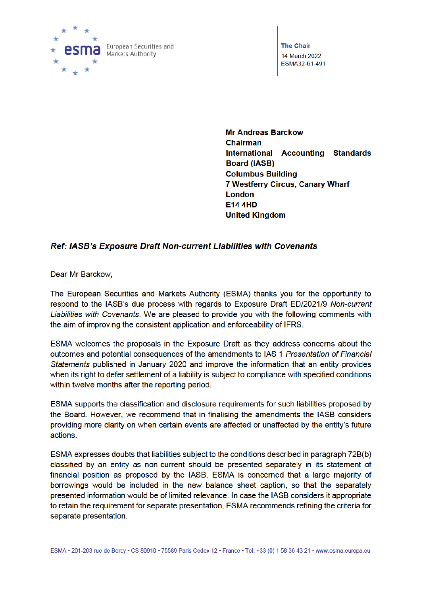

**The Chair** 14 March 2022 ESMA32-61-491

**Mr Andreas Barckow Chairman** International Accounting Standards **Board (IASB) Columbus Building** 7 Westferry Circus, Canary Wharf London **E14 4HD United Kingdom** 

# Ref: IASB's Exposure Draft Non-current Liabilities with Covenants

Dear Mr Barckow,

The European Securities and Markets Authority (ESMA) thanks you for the opportunity to respond to the IASB's due process with regards to Exposure Draft ED/2021/9 Non-current Liabilities with Covenants. We are pleased to provide you with the following comments with the aim of improving the consistent application and enforceability of IFRS.

ESMA welcomes the proposals in the Exposure Draft as they address concerns about the outcomes and potential consequences of the amendments to IAS 1 Presentation of Financial Statements published in January 2020 and improve the information that an entity provides when its right to defer settlement of a liability is subject to compliance with specified conditions within twelve months after the reporting period.

ESMA supports the classification and disclosure requirements for such liabilities proposed by the Board. However, we recommend that in finalising the amendments the IASB considers providing more clarity on when certain events are affected or unaffected by the entity's future actions.

ESMA expresses doubts that liabilities subject to the conditions described in paragraph 72B(b) classified by an entity as non-current should be presented separately in its statement of financial position as proposed by the IASB. ESMA is concerned that a large majority of borrowings would be included in the new balance sheet caption, so that the separately presented information would be of limited relevance. In case the IASB considers it appropriate to retain the requirement for separate presentation, ESMA recommends refining the criteria for separate presentation.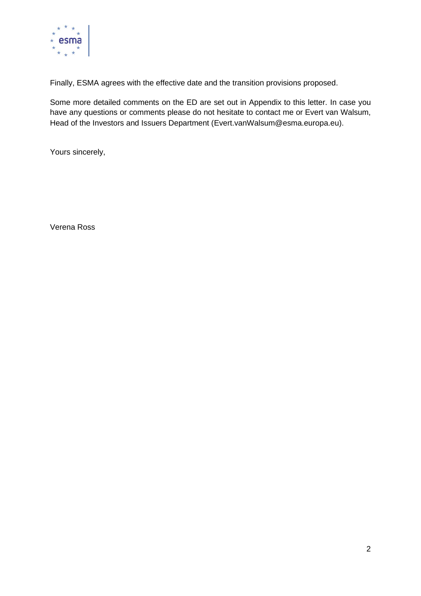

Finally, ESMA agrees with the effective date and the transition provisions proposed.

Some more detailed comments on the ED are set out in Appendix to this letter. In case you have any questions or comments please do not hesitate to contact me or Evert van Walsum, Head of the Investors and Issuers Department (Evert.vanWalsum@esma.europa.eu).

Yours sincerely,

Verena Ross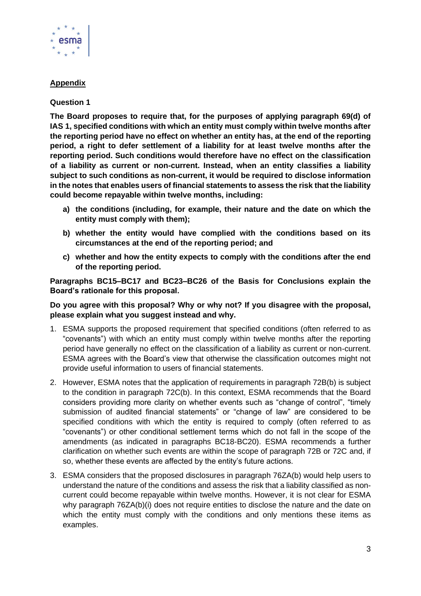

# **Appendix**

## **Question 1**

**The Board proposes to require that, for the purposes of applying paragraph 69(d) of IAS 1, specified conditions with which an entity must comply within twelve months after the reporting period have no effect on whether an entity has, at the end of the reporting period, a right to defer settlement of a liability for at least twelve months after the reporting period. Such conditions would therefore have no effect on the classification of a liability as current or non-current. Instead, when an entity classifies a liability subject to such conditions as non-current, it would be required to disclose information in the notes that enables users of financial statements to assess the risk that the liability could become repayable within twelve months, including:**

- **a) the conditions (including, for example, their nature and the date on which the entity must comply with them);**
- **b) whether the entity would have complied with the conditions based on its circumstances at the end of the reporting period; and**
- **c) whether and how the entity expects to comply with the conditions after the end of the reporting period.**

**Paragraphs BC15–BC17 and BC23–BC26 of the Basis for Conclusions explain the Board's rationale for this proposal.**

### **Do you agree with this proposal? Why or why not? If you disagree with the proposal, please explain what you suggest instead and why.**

- 1. ESMA supports the proposed requirement that specified conditions (often referred to as "covenants") with which an entity must comply within twelve months after the reporting period have generally no effect on the classification of a liability as current or non-current. ESMA agrees with the Board's view that otherwise the classification outcomes might not provide useful information to users of financial statements.
- 2. However, ESMA notes that the application of requirements in paragraph 72B(b) is subject to the condition in paragraph 72C(b). In this context, ESMA recommends that the Board considers providing more clarity on whether events such as "change of control", "timely submission of audited financial statements" or "change of law" are considered to be specified conditions with which the entity is required to comply (often referred to as "covenants") or other conditional settlement terms which do not fall in the scope of the amendments (as indicated in paragraphs BC18-BC20). ESMA recommends a further clarification on whether such events are within the scope of paragraph 72B or 72C and, if so, whether these events are affected by the entity's future actions.
- 3. ESMA considers that the proposed disclosures in paragraph 76ZA(b) would help users to understand the nature of the conditions and assess the risk that a liability classified as noncurrent could become repayable within twelve months. However, it is not clear for ESMA why paragraph 76ZA(b)(i) does not require entities to disclose the nature and the date on which the entity must comply with the conditions and only mentions these items as examples.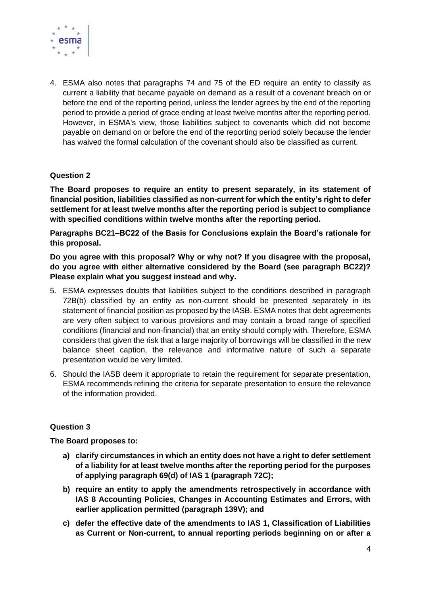

4. ESMA also notes that paragraphs 74 and 75 of the ED require an entity to classify as current a liability that became payable on demand as a result of a covenant breach on or before the end of the reporting period, unless the lender agrees by the end of the reporting period to provide a period of grace ending at least twelve months after the reporting period. However, in ESMA's view, those liabilities subject to covenants which did not become payable on demand on or before the end of the reporting period solely because the lender has waived the formal calculation of the covenant should also be classified as current.

## **Question 2**

**The Board proposes to require an entity to present separately, in its statement of financial position, liabilities classified as non-current for which the entity's right to defer settlement for at least twelve months after the reporting period is subject to compliance with specified conditions within twelve months after the reporting period.**

**Paragraphs BC21–BC22 of the Basis for Conclusions explain the Board's rationale for this proposal.**

**Do you agree with this proposal? Why or why not? If you disagree with the proposal, do you agree with either alternative considered by the Board (see paragraph BC22)? Please explain what you suggest instead and why.**

- 5. ESMA expresses doubts that liabilities subject to the conditions described in paragraph 72B(b) classified by an entity as non-current should be presented separately in its statement of financial position as proposed by the IASB. ESMA notes that debt agreements are very often subject to various provisions and may contain a broad range of specified conditions (financial and non-financial) that an entity should comply with. Therefore, ESMA considers that given the risk that a large majority of borrowings will be classified in the new balance sheet caption, the relevance and informative nature of such a separate presentation would be very limited.
- 6. Should the IASB deem it appropriate to retain the requirement for separate presentation, ESMA recommends refining the criteria for separate presentation to ensure the relevance of the information provided.

# **Question 3**

### **The Board proposes to:**

- **a) clarify circumstances in which an entity does not have a right to defer settlement of a liability for at least twelve months after the reporting period for the purposes of applying paragraph 69(d) of IAS 1 (paragraph 72C);**
- **b) require an entity to apply the amendments retrospectively in accordance with IAS 8 Accounting Policies, Changes in Accounting Estimates and Errors, with earlier application permitted (paragraph 139V); and**
- **c) defer the effective date of the amendments to IAS 1, Classification of Liabilities as Current or Non-current, to annual reporting periods beginning on or after a**